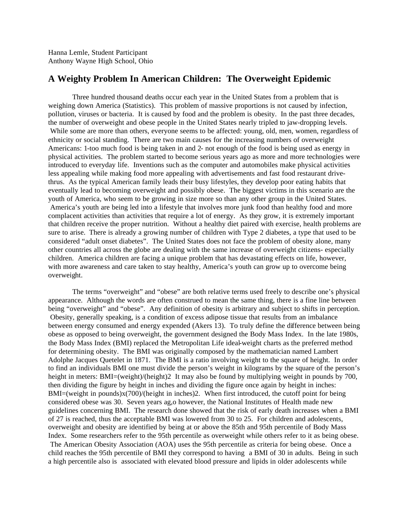Hanna Lemle, Student Participant Anthony Wayne High School, Ohio

## **A Weighty Problem In American Children: The Overweight Epidemic**

Three hundred thousand deaths occur each year in the United States from a problem that is weighing down America (Statistics). This problem of massive proportions is not caused by infection, pollution, viruses or bacteria. It is caused by food and the problem is obesity. In the past three decades, the number of overweight and obese people in the United States nearly tripled to jaw-dropping levels. While some are more than others, everyone seems to be affected: young, old, men, women, regardless of ethnicity or social standing. There are two main causes for the increasing numbers of overweight Americans: 1-too much food is being taken in and 2- not enough of the food is being used as energy in physical activities. The problem started to become serious years ago as more and more technologies were introduced to everyday life. Inventions such as the computer and automobiles make physical activities less appealing while making food more appealing with advertisements and fast food restaurant drivethrus. As the typical American family leads their busy lifestyles, they develop poor eating habits that eventually lead to becoming overweight and possibly obese. The biggest victims in this scenario are the youth of America, who seem to be growing in size more so than any other group in the United States. America's youth are being led into a lifestyle that involves more junk food than healthy food and more complacent activities than activities that require a lot of energy. As they grow, it is extremely important that children receive the proper nutrition. Without a healthy diet paired with exercise, health problems are sure to arise. There is already a growing number of children with Type 2 diabetes, a type that used to be considered "adult onset diabetes". The United States does not face the problem of obesity alone, many other countries all across the globe are dealing with the same increase of overweight citizens- especially children. America children are facing a unique problem that has devastating effects on life, however, with more awareness and care taken to stay healthy, America's youth can grow up to overcome being overweight.

The terms "overweight" and "obese" are both relative terms used freely to describe one's physical appearance. Although the words are often construed to mean the same thing, there is a fine line between being "overweight" and "obese". Any definition of obesity is arbitrary and subject to shifts in perception. Obesity, generally speaking, is a condition of excess adipose tissue that results from an imbalance between energy consumed and energy expended (Akers 13). To truly define the difference between being obese as opposed to being overweight, the government designed the Body Mass Index. In the late 1980s, the Body Mass Index (BMI) replaced the Metropolitan Life ideal-weight charts as the preferred method for determining obesity. The BMI was originally composed by the mathematician named Lambert Adolphe Jacques Quetelet in 1871. The BMI is a ratio involving weight to the square of height. In order to find an individuals BMI one must divide the person's weight in kilograms by the square of the person's height in meters: BMI=(weight)/(height)2 It may also be found by multiplying weight in pounds by 700, then dividing the figure by height in inches and dividing the figure once again by height in inches: BMI=(weight in pounds)x(700)/(height in inches)2. When first introduced, the cutoff point for being considered obese was 30. Seven years ag,o however, the National Institutes of Health made new guidelines concerning BMI. The research done showed that the risk of early death increases when a BMI of 27 is reached, thus the acceptable BMI was lowered from 30 to 25. For children and adolescents, overweight and obesity are identified by being at or above the 85th and 95th percentile of Body Mass Index. Some researchers refer to the 95th percentile as overweight while others refer to it as being obese.

The American Obesity Association (AOA) uses the 95th percentile as criteria for being obese. Once a child reaches the 95th percentile of BMI they correspond to having a BMI of 30 in adults. Being in such a high percentile also is associated with elevated blood pressure and lipids in older adolescents while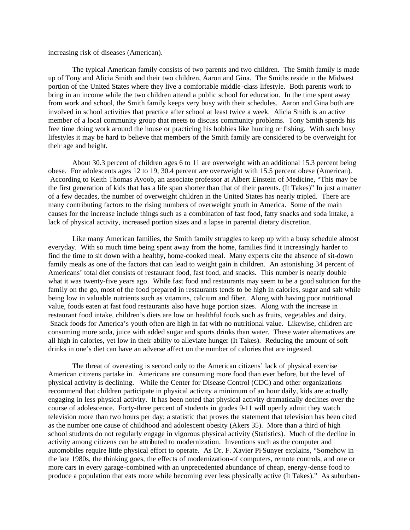increasing risk of diseases (American).

The typical American family consists of two parents and two children. The Smith family is made up of Tony and Alicia Smith and their two children, Aaron and Gina. The Smiths reside in the Midwest portion of the United States where they live a comfortable middle -class lifestyle. Both parents work to bring in an income while the two children attend a public school for education. In the time spent away from work and school, the Smith family keeps very busy with their schedules. Aaron and Gina both are involved in school activities that practice after school at least twice a week. Alicia Smith is an active member of a local community group that meets to discuss community problems. Tony Smith spends his free time doing work around the house or practicing his hobbies like hunting or fishing. With such busy lifestyles it may be hard to believe that members of the Smith family are considered to be overweight for their age and height.

About 30.3 percent of children ages 6 to 11 are overweight with an additional 15.3 percent being obese. For adolescents ages 12 to 19, 30.4 percent are overweight with 15.5 percent obese (American). According to Keith Thomas Ayoob, an associate professor at Albert Einstein of Medicine, "This may be the first generation of kids that has a life span shorter than that of their parents. (It Takes)" In just a matter of a few decades, the number of overweight children in the United States has nearly tripled. There are many contributing factors to the rising numbers of overweight youth in America. Some of the main causes for the increase include things such as a combination of fast food, fatty snacks and soda intake, a lack of physical activity, increased portion sizes and a lapse in parental dietary discretion.

Like many American families, the Smith family struggles to keep up with a busy schedule almost everyday. With so much time being spent away from the home, families find it increasingly harder to find the time to sit down with a healthy, home-cooked meal. Many experts cite the absence of sit-down family meals as one of the factors that can lead to weight gain in children. An astonishing 34 percent of Americans' total diet consists of restaurant food, fast food, and snacks. This number is nearly double what it was twenty-five years ago. While fast food and restaurants may seem to be a good solution for the family on the go, most of the food prepared in restaurants tends to be high in calories, sugar and salt while being low in valuable nutrients such as vitamins, calcium and fiber. Along with having poor nutritional value, foods eaten at fast food restaurants also have huge portion sizes. Along with the increase in restaurant food intake, children's diets are low on healthful foods such as fruits, vegetables and dairy. Snack foods for America's youth often are high in fat with no nutritional value. Likewise, children are consuming more soda, juice with added sugar and sports drinks than water. These water alternatives are all high in calories, yet low in their ability to alleviate hunger (It Takes). Reducing the amount of soft drinks in one's diet can have an adverse affect on the number of calories that are ingested.

The threat of overeating is second only to the American citizens' lack of physical exercise American citizens partake in. Americans are consuming more food than ever before, but the level of physical activity is declining. While the Center for Disease Control (CDC) and other organizations recommend that children participate in physical activity a minimum of an hour daily, kids are actually engaging in less physical activity. It has been noted that physical activity dramatically declines over the course of adolescence. Forty-three percent of students in grades 9-11 will openly admit they watch television more than two hours per day; a statistic that proves the statement that television has been cited as the number one cause of childhood and adolescent obesity (Akers 35). More than a third of high school students do not regularly engage in vigorous physical activity (Statistics). Much of the decline in activity among citizens can be attributed to modernization. Inventions such as the computer and automobiles require little physical effort to operate. As Dr. F. Xavier Pi-Sunyer explains, "Somehow in the late 1980s, the thinking goes, the effects of modernization-of computers, remote controls, and one or more cars in every garage-combined with an unprecedented abundance of cheap, energy-dense food to produce a population that eats more while becoming ever less physically active (It Takes)." As suburban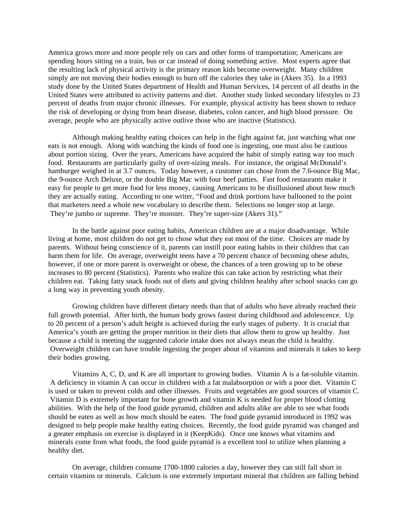America grows more and more people rely on cars and other forms of transportation; Americans are spending hours sitting on a train, bus or car instead of doing something active. Most experts agree that the resulting lack of physical activity is the primary reason kids become overweight. Many children simply are not moving their bodies enough to burn off the calories they take in (Akers 35). In a 1993 study done by the United States department of Health and Human Services, 14 percent of all deaths in the United States were attributed to activity patterns and diet. Another study linked secondary lifestyles to 23 percent of deaths from major chronic illnesses. For example, physical activity has been shown to reduce the risk of developing or dying from heart disease, diabetes, colon cancer, and high blood pressure. On average, people who are physically active outlive those who are inactive (Statistics).

Although making healthy eating choices can help in the fight against fat, just watching what one eats is not enough. Along with watching the kinds of food one is ingesting, one must also be cautious about portion sizing. Over the years, Americans have acquired the habit of simply eating way too much food. Restaurants are particularly guilty of over-sizing meals. For instance, the original McDonald's hamburger weighed in at 3.7 ounces. Today however, a customer can chose from the 7.6-ounce Big Mac, the 9-ounce Arch Deluxe, or the double Big Mac with four beef patties. Fast food restaurants make it easy for people to get more food for less money, causing Americans to be disillusioned about how much they are actually eating. According to one writer, "Food and drink portions have ballooned to the point that marketers need a whole new vocabulary to describe them. Selections no longer stop at large. They're jumbo or supreme. They're monster. They're super-size (Akers 31)."

In the battle against poor eating habits, American children are at a major disadvantage. While living at home, most children do not get to chose what they eat most of the time. Choices are made by parents. Without being conscience of it, parents can instill poor eating habits in their children that can harm them for life. On average, overweight teens have a 70 percent chance of becoming obese adults, however, if one or more parent is overweight or obese, the chances of a teen growing up to be obese increases to 80 percent (Statistics). Parents who realize this can take action by restricting what their children eat. Taking fatty snack foods out of diets and giving children healthy after school snacks can go a long way in preventing youth obesity.

Growing children have different dietary needs than that of adults who have already reached their full growth potential. After birth, the human body grows fastest during childhood and adolescence. Up to 20 percent of a person's adult height is achieved during the early stages of puberty. It is crucial that America's youth are getting the proper nutrition in their diets that allow them to grow up healthy. Just because a child is meeting the suggested calorie intake does not always mean the child is healthy. Overweight children can have trouble ingesting the proper about of vitamins and minerals it takes to keep their bodies growing.

Vitamins A, C, D, and K are all important to growing bodies. Vitamin A is a fat-soluble vitamin. A deficiency in vitamin A can occur in children with a fat malabsorption or with a poor diet. Vitamin C is used or taken to prevent colds and other illnesses. Fruits and vegetables are good sources of vitamin C. Vitamin D is extremely important for bone growth and vitamin K is needed for proper blood clotting abilities. With the help of the food guide pyramid, children and adults alike are able to see what foods should be eaten as well as how much should be eaten. The food guide pyramid introduced in 1992 was designed to help people make healthy eating choices. Recently, the food guide pyramid was changed and a greater emphasis on exercise is displayed in it (KeepKids). Once one knows what vitamins and minerals come from what foods, the food guide pyramid is a excellent tool to utilize when planning a healthy diet.

On average, children consume 1700-1800 calories a day, however they can still fall short in certain vitamins or minerals. Calcium is one extremely important mineral that children are falling behind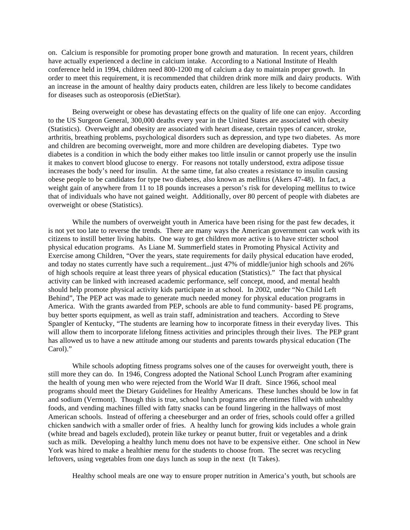on. Calcium is responsible for promoting proper bone growth and maturation. In recent years, children have actually experienced a decline in calcium intake. According to a National Institute of Health conference held in 1994, children need 800-1200 mg of calcium a day to maintain proper growth. In order to meet this requirement, it is recommended that children drink more milk and dairy products. With an increase in the amount of healthy dairy products eaten, children are less likely to become candidates for diseases such as osteoporosis (eDietStar).

Being overweight or obese has devastating effects on the quality of life one can enjoy. According to the US Surgeon General, 300,000 deaths every year in the United States are associated with obesity (Statistics). Overweight and obesity are associated with heart disease, certain types of cancer, stroke, arthritis, breathing problems, psychological disorders such as depression, and type two diabetes. As more and children are becoming overweight, more and more children are developing diabetes. Type two diabetes is a condition in which the body either makes too little insulin or cannot properly use the insulin it makes to convert blood glucose to energy. For reasons not totally understood, extra adipose tissue increases the body's need for insulin. At the same time, fat also creates a resistance to insulin causing obese people to be candidates for type two diabetes, also known as mellitus (Akers 47-48). In fact, a weight gain of anywhere from 11 to 18 pounds increases a person's risk for developing mellitus to twice that of individuals who have not gained weight. Additionally, over 80 percent of people with diabetes are overweight or obese (Statistics).

While the numbers of overweight youth in America have been rising for the past few decades, it is not yet too late to reverse the trends. There are many ways the American government can work with its citizens to instill better living habits. One way to get children more active is to have stricter school physical education programs. As Liane M. Summerfield states in Promoting Physical Activity and Exercise among Children, "Over the years, state requirements for daily physical education have eroded, and today no states currently have such a requirement...just 47% of middle/junior high schools and 26% of high schools require at least three years of physical education (Statistics)." The fact that physical activity can be linked with increased academic performance, self concept, mood, and mental health should help promote physical activity kids participate in at school. In 2002, under "No Child Left Behind", The PEP act was made to generate much needed money for physical education programs in America. With the grants awarded from PEP, schools are able to fund community- based PE programs, buy better sports equipment, as well as train staff, administration and teachers. According to Steve Spangler of Kentucky, "The students are learning how to incorporate fitness in their everyday lives. This will allow them to incorporate lifelong fitness activities and principles through their lives. The PEP grant has allowed us to have a new attitude among our students and parents towards physical education (The Carol)."

While schools adopting fitness programs solves one of the causes for overweight youth, there is still more they can do. In 1946, Congress adopted the National School Lunch Program after examining the health of young men who were rejected from the World War II draft. Since 1966, school meal programs should meet the Dietary Guidelines for Healthy Americans. These lunches should be low in fat and sodium (Vermont). Though this is true, school lunch programs are oftentimes filled with unhealthy foods, and vending machines filled with fatty snacks can be found lingering in the hallways of most American schools. Instead of offering a cheeseburger and an order of fries, schools could offer a grilled chicken sandwich with a smaller order of fries. A healthy lunch for growing kids includes a whole grain (white bread and bagels excluded), protein like turkey or peanut butter, fruit or vegetables and a drink such as milk. Developing a healthy lunch menu does not have to be expensive either. One school in New York was hired to make a healthier menu for the students to choose from. The secret was recycling leftovers, using vegetables from one days lunch as soup in the next (It Takes).

Healthy school meals are one way to ensure proper nutrition in America's youth, but schools are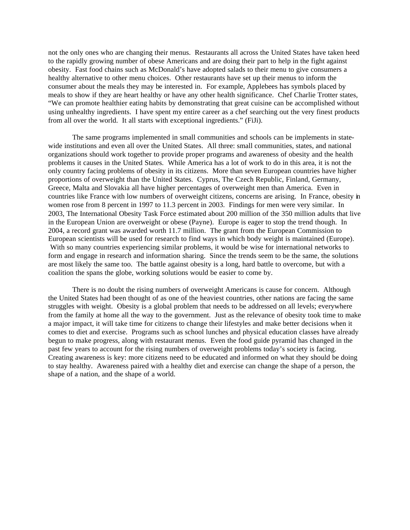not the only ones who are changing their menus. Restaurants all across the United States have taken heed to the rapidly growing number of obese Americans and are doing their part to help in the fight against obesity. Fast food chains such as McDonald's have adopted salads to their menu to give consumers a healthy alternative to other menu choices. Other restaurants have set up their menus to inform the consumer about the meals they may be interested in. For example, Applebees has symbols placed by meals to show if they are heart healthy or have any other health significance. Chef Charlie Trotter states, "We can promote healthier eating habits by demonstrating that great cuisine can be accomplished without using unhealthy ingredients. I have spent my entire career as a chef searching out the very finest products from all over the world. It all starts with exceptional ingredients." (FiJi).

The same programs implemented in small communities and schools can be implements in statewide institutions and even all over the United States. All three: small communities, states, and national organizations should work together to provide proper programs and awareness of obesity and the health problems it causes in the United States. While America has a lot of work to do in this area, it is not the only country facing problems of obesity in its citizens. More than seven European countries have higher proportions of overweight than the United States. Cyprus, The Czech Republic, Finland, Germany, Greece, Malta and Slovakia all have higher percentages of overweight men than America. Even in countries like France with low numbers of overweight citizens, concerns are arising. In France, obesity in women rose from 8 percent in 1997 to 11.3 percent in 2003. Findings for men were very similar. In 2003, The International Obesity Task Force estimated about 200 million of the 350 million adults that live in the European Union are overweight or obese (Payne). Europe is eager to stop the trend though. In 2004, a record grant was awarded worth 11.7 million. The grant from the European Commission to European scientists will be used for research to find ways in which body weight is maintained (Europe). With so many countries experiencing similar problems, it would be wise for international networks to form and engage in research and information sharing. Since the trends seem to be the same, the solutions are most likely the same too. The battle against obesity is a long, hard battle to overcome, but with a coalition the spans the globe, working solutions would be easier to come by.

There is no doubt the rising numbers of overweight Americans is cause for concern. Although the United States had been thought of as one of the heaviest countries, other nations are facing the same struggles with weight. Obesity is a global problem that needs to be addressed on all levels; everywhere from the family at home all the way to the government. Just as the relevance of obesity took time to make a major impact, it will take time for citizens to change their lifestyles and make better decisions when it comes to diet and exercise. Programs such as school lunches and physical education classes have already begun to make progress, along with restaurant menus. Even the food guide pyramid has changed in the past few years to account for the rising numbers of overweight problems today's society is facing. Creating awareness is key: more citizens need to be educated and informed on what they should be doing to stay healthy. Awareness paired with a healthy diet and exercise can change the shape of a person, the shape of a nation, and the shape of a world.